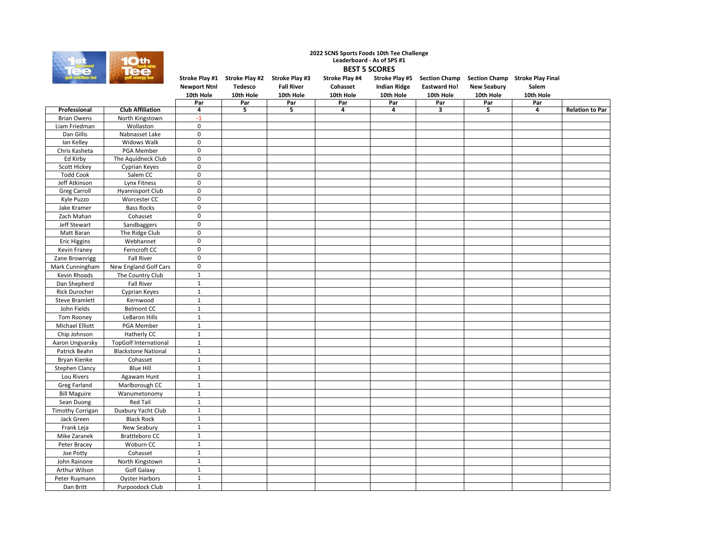

## **2022 SCNS Sports Foods 10th Tee Challenge Leaderboard - As of SPS #1 BEST 5 SCORES**

| golf nutrition bar      | golf energy bar              |                          | Stroke Play #1 Stroke Play #2 Stroke Play #3 |                   | Stroke Play #4 |                     |                     |                    | Stroke Play #5 Section Champ Section Champ Stroke Play Final |                        |
|-------------------------|------------------------------|--------------------------|----------------------------------------------|-------------------|----------------|---------------------|---------------------|--------------------|--------------------------------------------------------------|------------------------|
|                         |                              | <b>Newport Ntnl</b>      | Tedesco                                      | <b>Fall River</b> | Cohasset       | <b>Indian Ridge</b> | <b>Eastward Ho!</b> | <b>New Seabury</b> | Salem                                                        |                        |
|                         |                              | 10th Hole                | 10th Hole                                    | 10th Hole         | 10th Hole      | 10th Hole           | 10th Hole           | 10th Hole          | 10th Hole                                                    |                        |
|                         |                              | Par                      | Par                                          | Par               | Par            | Par                 | Par                 | Par                | Par                                                          |                        |
| Professional            | <b>Club Affiliation</b>      | 4                        | 5                                            | 5                 | 4              | 4                   | 3                   | 5                  | 4                                                            | <b>Relation to Par</b> |
| <b>Brian Owens</b>      | North Kingstown              | $-1$                     |                                              |                   |                |                     |                     |                    |                                                              |                        |
| Liam Friedman           | Wollaston                    | $\pmb{0}$                |                                              |                   |                |                     |                     |                    |                                                              |                        |
| Dan Gillis              | Nabnasset Lake               | 0                        |                                              |                   |                |                     |                     |                    |                                                              |                        |
| Ian Kelley              | Widows Walk                  | 0                        |                                              |                   |                |                     |                     |                    |                                                              |                        |
| Chris Kasheta           | PGA Member                   | $\mathbf 0$              |                                              |                   |                |                     |                     |                    |                                                              |                        |
| Ed Kirby                | The Aquidneck Club           | 0                        |                                              |                   |                |                     |                     |                    |                                                              |                        |
| Scott Hickey            | Cyprian Keyes                | 0                        |                                              |                   |                |                     |                     |                    |                                                              |                        |
| <b>Todd Cook</b>        | Salem CC                     | $\pmb{0}$<br>$\mathbf 0$ |                                              |                   |                |                     |                     |                    |                                                              |                        |
| Jeff Atkinson           | <b>Lynx Fitness</b>          | $\mathbf 0$              |                                              |                   |                |                     |                     |                    |                                                              |                        |
| <b>Greg Carroll</b>     | <b>Hyannisport Club</b>      | $\mathbf 0$              |                                              |                   |                |                     |                     |                    |                                                              |                        |
| Kyle Puzzo              | Worcester CC                 |                          |                                              |                   |                |                     |                     |                    |                                                              |                        |
| Jake Kramer             | <b>Bass Rocks</b>            | $\pmb{0}$                |                                              |                   |                |                     |                     |                    |                                                              |                        |
| Zach Mahan              | Cohasset                     | $\pmb{0}$                |                                              |                   |                |                     |                     |                    |                                                              |                        |
| Jeff Stewart            | Sandbaggers                  | $\pmb{0}$                |                                              |                   |                |                     |                     |                    |                                                              |                        |
| Matt Baran              | The Ridge Club               | $\mathbf 0$              |                                              |                   |                |                     |                     |                    |                                                              |                        |
| <b>Eric Higgins</b>     | Webhannet                    | $\pmb{0}$                |                                              |                   |                |                     |                     |                    |                                                              |                        |
| Kevin Franey            | Ferncroft CC                 | $\pmb{0}$                |                                              |                   |                |                     |                     |                    |                                                              |                        |
| Zane Brownrigg          | <b>Fall River</b>            | $\pmb{0}$                |                                              |                   |                |                     |                     |                    |                                                              |                        |
| Mark Cunningham         | New England Golf Cars        | $\mathsf 0$              |                                              |                   |                |                     |                     |                    |                                                              |                        |
| Kevin Rhoads            | The Country Club             | $\mathbf{1}$             |                                              |                   |                |                     |                     |                    |                                                              |                        |
| Dan Shepherd            | <b>Fall River</b>            | $\mathbf{1}$             |                                              |                   |                |                     |                     |                    |                                                              |                        |
| Rick Durocher           | Cyprian Keyes                | $\mathbf{1}$             |                                              |                   |                |                     |                     |                    |                                                              |                        |
| <b>Steve Bramlett</b>   | Kernwood                     | $\mathbf{1}$             |                                              |                   |                |                     |                     |                    |                                                              |                        |
| John Fields             | <b>Belmont CC</b>            | $\mathbf{1}$             |                                              |                   |                |                     |                     |                    |                                                              |                        |
| Tom Rooney              | LeBaron Hills                | $\mathbf{1}$             |                                              |                   |                |                     |                     |                    |                                                              |                        |
| Michael Elliott         | PGA Member                   | $\mathbf{1}$             |                                              |                   |                |                     |                     |                    |                                                              |                        |
| Chip Johnson            | Hatherly CC                  | $\mathbf{1}$             |                                              |                   |                |                     |                     |                    |                                                              |                        |
| Aaron Ungvarsky         | <b>TopGolf International</b> | $\mathbf{1}$             |                                              |                   |                |                     |                     |                    |                                                              |                        |
| Patrick Beahn           | <b>Blackstone National</b>   | $\mathbf 1$              |                                              |                   |                |                     |                     |                    |                                                              |                        |
| Bryan Kienke            | Cohasset                     | $\mathbf 1$              |                                              |                   |                |                     |                     |                    |                                                              |                        |
| <b>Stephen Clancy</b>   | <b>Blue Hill</b>             | $\mathbf 1$              |                                              |                   |                |                     |                     |                    |                                                              |                        |
| Lou Rivers              | Agawam Hunt                  | $\mathbf{1}$             |                                              |                   |                |                     |                     |                    |                                                              |                        |
| Greg Farland            | Marlborough CC               | $\mathbf 1$              |                                              |                   |                |                     |                     |                    |                                                              |                        |
| <b>Bill Maguire</b>     | Wanumetonomy                 | $\mathbf{1}$             |                                              |                   |                |                     |                     |                    |                                                              |                        |
| Sean Duong              | <b>Red Tail</b>              | $\mathbf 1$              |                                              |                   |                |                     |                     |                    |                                                              |                        |
| <b>Timothy Corrigan</b> | Duxbury Yacht Club           | $\mathbf 1$              |                                              |                   |                |                     |                     |                    |                                                              |                        |
| Jack Green              | <b>Black Rock</b>            | $\mathbf 1$              |                                              |                   |                |                     |                     |                    |                                                              |                        |
| Frank Leja              | New Seabury                  | $\mathbf 1$              |                                              |                   |                |                     |                     |                    |                                                              |                        |
| Mike Zaranek            | <b>Brattleboro CC</b>        | $\mathbf 1$              |                                              |                   |                |                     |                     |                    |                                                              |                        |
| Peter Bracey            | Woburn CC                    | $\mathbf 1$              |                                              |                   |                |                     |                     |                    |                                                              |                        |
|                         | Cohasset                     | $\mathbf{1}$             |                                              |                   |                |                     |                     |                    |                                                              |                        |
| Joe Potty               |                              |                          |                                              |                   |                |                     |                     |                    |                                                              |                        |
| John Rainone            | North Kingstown              | $\mathbf 1$              |                                              |                   |                |                     |                     |                    |                                                              |                        |
| Arthur Wilson           | Golf Galaxy                  | $\mathbf{1}$             |                                              |                   |                |                     |                     |                    |                                                              |                        |
| Peter Ruymann           | <b>Oyster Harbors</b>        | $\mathbf{1}$             |                                              |                   |                |                     |                     |                    |                                                              |                        |
| Dan Britt               | Purpoodock Club              | $\mathbf{1}$             |                                              |                   |                |                     |                     |                    |                                                              |                        |